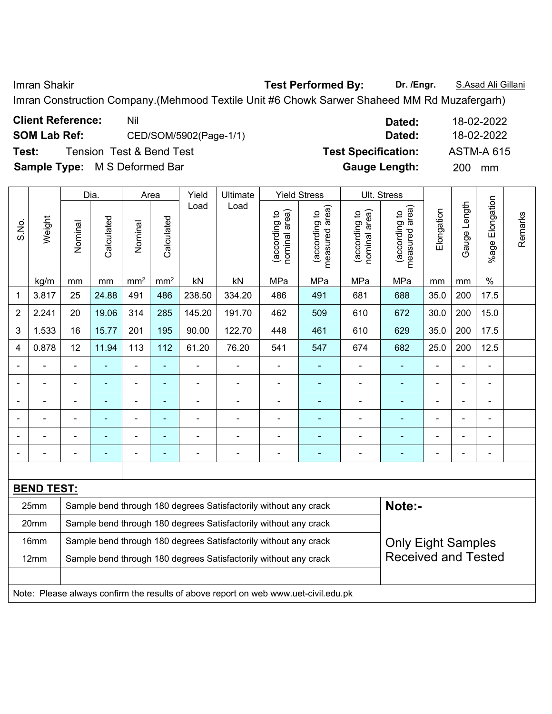Imran Shakir **Test Performed By: Dr. /Engr.** S.Asad Ali Gillani

Imran Construction Company.(Mehmood Textile Unit #6 Chowk Sarwer Shaheed MM Rd Muzafergarh)

| <b>Client Reference:</b>             | Nil                      | Dated:                     | 18-02-2022        |
|--------------------------------------|--------------------------|----------------------------|-------------------|
| <b>SOM Lab Ref:</b>                  | CED/SOM/5902(Page-1/1)   | Dated:                     | 18-02-2022        |
| Test:                                | Tension Test & Bend Test | <b>Test Specification:</b> | <b>ASTM-A 615</b> |
| <b>Sample Type:</b> M S Deformed Bar |                          | <b>Gauge Length:</b>       | 200<br>mm         |

|       |                                                                                     |                | Dia.       |                | Area            | Yield          | Ultimate                                                         |                                | <b>Yield Stress</b>             |                                | Ult. Stress                     |                |              |                 |         |
|-------|-------------------------------------------------------------------------------------|----------------|------------|----------------|-----------------|----------------|------------------------------------------------------------------|--------------------------------|---------------------------------|--------------------------------|---------------------------------|----------------|--------------|-----------------|---------|
| S.No. | Weight                                                                              | Nominal        | Calculated | Nominal        | Calculated      | Load           | Load                                                             | nominal area)<br>(according to | measured area)<br>(according to | nominal area)<br>(according to | measured area)<br>(according to | Elongation     | Gauge Length | %age Elongation | Remarks |
|       | kg/m                                                                                | mm             | mm         | $\text{mm}^2$  | mm <sup>2</sup> | kN             | kN                                                               | MPa                            | MPa                             | MPa                            | MPa                             | mm             | mm           | $\%$            |         |
| 1     | 3.817                                                                               | 25             | 24.88      | 491            | 486             | 238.50         | 334.20                                                           | 486                            | 491                             | 681                            | 688                             | 35.0           | 200          | 17.5            |         |
| 2     | 2.241                                                                               | 20             | 19.06      | 314            | 285             | 145.20         | 191.70                                                           | 462                            | 509                             | 610                            | 672                             | 30.0           | 200          | 15.0            |         |
| 3     | 1.533                                                                               | 16             | 15.77      | 201            | 195             | 90.00          | 122.70                                                           | 448                            | 461                             | 610                            | 629                             | 35.0           | 200          | 17.5            |         |
| 4     | 0.878                                                                               | 12             | 11.94      | 113            | 112             | 61.20          | 76.20                                                            | 541                            | 547                             | 674                            | 682                             | 25.0           | 200          | 12.5            |         |
|       |                                                                                     |                |            |                |                 |                |                                                                  | $\blacksquare$                 |                                 |                                |                                 | $\blacksquare$ |              |                 |         |
|       |                                                                                     | $\blacksquare$ | ÷,         | $\blacksquare$ | $\blacksquare$  | $\blacksquare$ | $\blacksquare$                                                   | $\blacksquare$                 | $\blacksquare$                  | ä,                             | $\blacksquare$                  | $\blacksquare$ | ä,           | $\blacksquare$  |         |
|       |                                                                                     | $\blacksquare$ | ÷,         | $\blacksquare$ | ٠               | $\blacksquare$ | $\blacksquare$                                                   | $\blacksquare$                 | $\overline{\phantom{a}}$        | ۰                              | $\blacksquare$                  | $\blacksquare$ | ÷            | $\blacksquare$  |         |
|       |                                                                                     | $\blacksquare$ | ä,         | $\blacksquare$ | ٠               | $\blacksquare$ | ٠                                                                | Ē,                             | ÷                               | $\blacksquare$                 | $\blacksquare$                  |                | ÷            | $\blacksquare$  |         |
|       |                                                                                     |                |            | $\blacksquare$ |                 | L,             | ÷,                                                               | L,                             | ÷                               | L                              | $\blacksquare$                  |                |              |                 |         |
|       |                                                                                     |                |            |                |                 |                |                                                                  |                                |                                 |                                |                                 |                |              | $\blacksquare$  |         |
|       |                                                                                     |                |            |                |                 |                |                                                                  |                                |                                 |                                |                                 |                |              |                 |         |
|       | <b>BEND TEST:</b>                                                                   |                |            |                |                 |                |                                                                  |                                |                                 |                                |                                 |                |              |                 |         |
|       | 25mm                                                                                |                |            |                |                 |                | Sample bend through 180 degrees Satisfactorily without any crack |                                |                                 |                                | Note:-                          |                |              |                 |         |
|       | 20mm                                                                                |                |            |                |                 |                | Sample bend through 180 degrees Satisfactorily without any crack |                                |                                 |                                |                                 |                |              |                 |         |
|       | 16mm                                                                                |                |            |                |                 |                | Sample bend through 180 degrees Satisfactorily without any crack |                                |                                 |                                | <b>Only Eight Samples</b>       |                |              |                 |         |
|       | 12mm                                                                                |                |            |                |                 |                | Sample bend through 180 degrees Satisfactorily without any crack |                                |                                 |                                | <b>Received and Tested</b>      |                |              |                 |         |
|       |                                                                                     |                |            |                |                 |                |                                                                  |                                |                                 |                                |                                 |                |              |                 |         |
|       | Note: Please always confirm the results of above report on web www.uet-civil.edu.pk |                |            |                |                 |                |                                                                  |                                |                                 |                                |                                 |                |              |                 |         |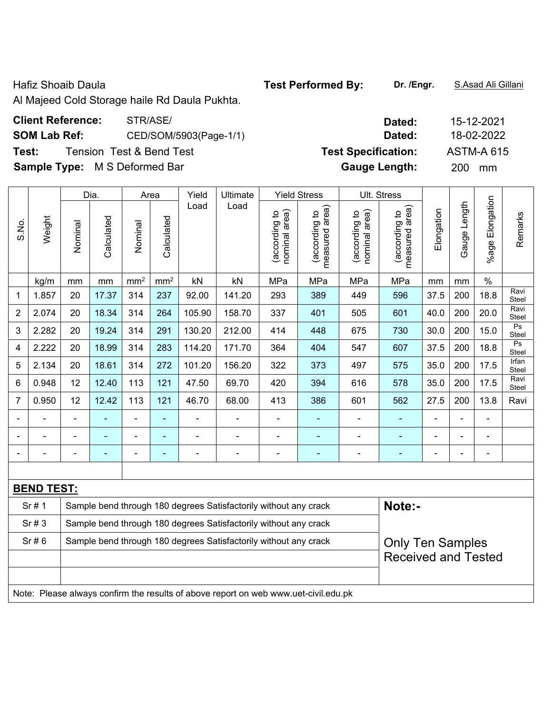Hafiz Shoaib Daula **Test Performed By:** Dr. /Engr. **S.Asad Ali Gillani Hafiz Shoaib Daula** 

Al Majeed Cold Storage haile Rd Daula Pukhta.

| <b>Client Reference:</b><br>STR/ASE/          | Dated:                     | 15-12-2021        |
|-----------------------------------------------|----------------------------|-------------------|
| <b>SOM Lab Ref:</b><br>CED/SOM/5903(Page-1/1) | Dated:                     | 18-02-2022        |
| Tension Test & Bend Test<br>Test:             | <b>Test Specification:</b> | <b>ASTM-A 615</b> |
| <b>Sample Type:</b> M S Deformed Bar          | <b>Gauge Length:</b>       | <b>200</b><br>mm  |

|                                                                  | Yield          | Ultimate       |                                | <b>Yield Stress</b>             |                                                                                                                                      | Ult. Stress                     |                |                |                 |                         |
|------------------------------------------------------------------|----------------|----------------|--------------------------------|---------------------------------|--------------------------------------------------------------------------------------------------------------------------------------|---------------------------------|----------------|----------------|-----------------|-------------------------|
| Calculated<br>Nominal                                            | Load           | Load           | nominal area)<br>(according to | measured area)<br>(according to | nominal area)<br>(according to                                                                                                       | measured area)<br>(according to | Elongation     | Gauge Length   | %age Elongation | Remarks                 |
| mm <sup>2</sup><br>mm <sup>2</sup>                               | kN             | kN             | MPa                            | MPa                             | MPa                                                                                                                                  | MPa                             | mm             | mm             | $\%$            |                         |
| 314<br>237                                                       | 92.00          | 141.20         | 293                            | 389                             | 449                                                                                                                                  | 596                             | 37.5           | 200            | 18.8            | Ravi<br>Steel           |
| 314<br>264                                                       | 105.90         | 158.70         | 337                            | 401                             | 505                                                                                                                                  | 601                             | 40.0           | 200            | 20.0            | Ravi<br>Steel           |
| 314<br>291                                                       | 130.20         | 212.00         | 414                            | 448                             | 675                                                                                                                                  | 730                             | 30.0           | 200            | 15.0            | Ps<br>Steel             |
| 314<br>283                                                       | 114.20         | 171.70         | 364                            | 404                             | 547                                                                                                                                  | 607                             | 37.5           | 200            | 18.8            | Ps<br>Steel             |
| 314<br>272                                                       | 101.20         | 156.20         | 322                            | 373                             | 497                                                                                                                                  | 575                             | 35.0           | 200            | 17.5            | Irfan<br>Steel          |
| 113<br>121                                                       | 47.50          | 69.70          | 420                            | 394                             | 616                                                                                                                                  | 578                             | 35.0           | 200            | 17.5            | Ravi<br>Steel           |
| 113<br>121                                                       | 46.70          | 68.00          | 413                            | 386                             | 601                                                                                                                                  | 562                             | 27.5           | 200            | 13.8            | Ravi                    |
| $\blacksquare$<br>÷,                                             | ÷,             | ÷              | $\blacksquare$                 | $\blacksquare$                  | ÷,                                                                                                                                   | $\blacksquare$                  |                | $\blacksquare$ | $\blacksquare$  |                         |
| $\overline{\phantom{a}}$<br>$\blacksquare$                       | $\blacksquare$ | $\blacksquare$ | $\blacksquare$                 | ٠                               | ÷,                                                                                                                                   | $\blacksquare$                  | $\blacksquare$ | $\blacksquare$ | $\blacksquare$  |                         |
| ÷<br>$\blacksquare$                                              | $\blacksquare$ | ÷              | $\overline{a}$                 | ٠                               | ۰                                                                                                                                    | ä,                              | Ē,             | $\blacksquare$ | $\blacksquare$  |                         |
|                                                                  |                |                |                                |                                 |                                                                                                                                      |                                 |                |                |                 |                         |
| <b>BEND TEST:</b>                                                |                |                |                                |                                 |                                                                                                                                      |                                 |                |                |                 |                         |
| Sample bend through 180 degrees Satisfactorily without any crack |                |                |                                |                                 |                                                                                                                                      |                                 |                |                |                 |                         |
|                                                                  |                |                |                                |                                 |                                                                                                                                      |                                 |                |                |                 |                         |
|                                                                  |                |                |                                |                                 |                                                                                                                                      |                                 |                |                |                 |                         |
|                                                                  |                |                |                                |                                 |                                                                                                                                      | <b>Received and Tested</b>      |                |                |                 |                         |
|                                                                  |                |                |                                |                                 |                                                                                                                                      |                                 |                |                |                 |                         |
| 18.99<br>12.40<br>12.42                                          |                |                |                                |                                 | Sample bend through 180 degrees Satisfactorily without any crack<br>Sample bend through 180 degrees Satisfactorily without any crack |                                 | Note:-         |                |                 | <b>Only Ten Samples</b> |

Note: Please always confirm the results of above report on web www.uet-civil.edu.pk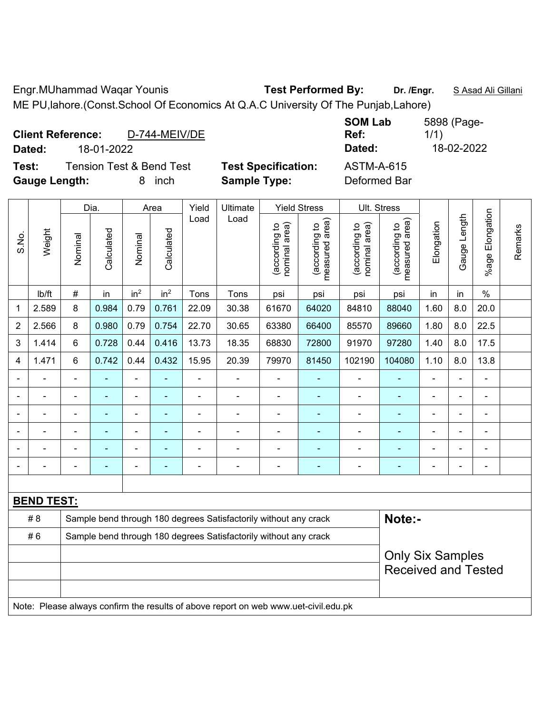Engr.MUhammad Waqar Younis **Test Performed By: Dr. /Engr.** S Asad Ali Gillani ME PU,lahore.(Const.School Of Economics At Q.A.C University Of The Punjab,Lahore)

| D-744-MEIV/DE<br><b>Client Reference:</b><br>18-01-2022<br>Dated:                 |                                                   | <b>SOM Lab</b><br>Ref:<br>Dated:  | 5898 (Page-<br>1/1)<br>18-02-2022 |
|-----------------------------------------------------------------------------------|---------------------------------------------------|-----------------------------------|-----------------------------------|
| Test:<br><b>Tension Test &amp; Bend Test</b><br><b>Gauge Length:</b><br>inch<br>8 | <b>Test Specification:</b><br><b>Sample Type:</b> | <b>ASTM-A-615</b><br>Deformed Bar |                                   |

|                |                   |                                                                            | Dia.           |                          | Area            | Yield | Ultimate                                                                            |                                | <b>Yield Stress</b>             |                                | Ult. Stress                     |                          |                |                         |         |
|----------------|-------------------|----------------------------------------------------------------------------|----------------|--------------------------|-----------------|-------|-------------------------------------------------------------------------------------|--------------------------------|---------------------------------|--------------------------------|---------------------------------|--------------------------|----------------|-------------------------|---------|
| S.No.          | Weight            | Nominal                                                                    | Calculated     | Nominal                  | Calculated      | Load  | Load                                                                                | nominal area)<br>(according to | (according to<br>measured area) | nominal area)<br>(according to | (according to<br>measured area) | Elongation               | Gauge Length   | Elongation<br>$%$ age I | Remarks |
|                | Ib/ft             | $\#$                                                                       | in             | in <sup>2</sup>          | in <sup>2</sup> | Tons  | Tons                                                                                | psi                            | psi                             | psi                            | psi                             | in                       | in             | $\%$                    |         |
| 1              | 2.589             | 8                                                                          | 0.984          | 0.79                     | 0.761           | 22.09 | 30.38                                                                               | 61670                          | 64020                           | 84810                          | 88040                           | 1.60                     | 8.0            | 20.0                    |         |
| $\overline{2}$ | 2.566             | 8                                                                          | 0.980          | 0.79                     | 0.754           | 22.70 | 30.65                                                                               | 63380                          | 66400                           | 85570                          | 89660                           | 1.80                     | 8.0            | 22.5                    |         |
| 3              | 1.414             | 6                                                                          | 0.728          | 0.44                     | 0.416           | 13.73 | 18.35                                                                               | 68830                          | 72800                           | 91970                          | 97280                           | 1.40                     | 8.0            | 17.5                    |         |
| $\overline{4}$ | 1.471             | 6                                                                          | 0.742          | 0.44                     | 0.432           | 15.95 | 20.39                                                                               | 79970                          | 81450                           | 102190                         | 104080                          | 1.10                     | 8.0            | 13.8                    |         |
|                |                   | $\blacksquare$                                                             | $\blacksquare$ | $\blacksquare$           | $\blacksquare$  |       |                                                                                     | $\blacksquare$                 | ÷                               | $\blacksquare$                 | ٠                               | $\overline{\phantom{a}}$ | ä,             | $\blacksquare$          |         |
|                |                   | $\blacksquare$                                                             | ÷              | $\overline{\phantom{a}}$ | $\blacksquare$  | ä,    | $\blacksquare$                                                                      | $\blacksquare$                 | ÷                               | $\blacksquare$                 | ٠                               | $\overline{a}$           | $\blacksquare$ | $\blacksquare$          |         |
|                |                   | $\blacksquare$                                                             | $\blacksquare$ | $\blacksquare$           | $\blacksquare$  |       |                                                                                     | $\blacksquare$                 | ۰                               | $\blacksquare$                 | $\blacksquare$                  | $\overline{\phantom{a}}$ |                | $\blacksquare$          |         |
|                |                   |                                                                            | $\blacksquare$ | ٠                        |                 |       |                                                                                     |                                | ۰                               |                                | $\overline{\phantom{a}}$        |                          |                | $\blacksquare$          |         |
|                |                   |                                                                            |                |                          |                 |       |                                                                                     |                                | $\blacksquare$                  | $\blacksquare$                 | $\blacksquare$                  |                          |                | $\blacksquare$          |         |
|                |                   | $\blacksquare$                                                             |                | -                        | $\blacksquare$  |       |                                                                                     | $\blacksquare$                 | ۰                               | $\overline{a}$                 | $\blacksquare$                  | Ē,                       | $\blacksquare$ | $\blacksquare$          |         |
|                |                   |                                                                            |                |                          |                 |       |                                                                                     |                                |                                 |                                |                                 |                          |                |                         |         |
|                | <b>BEND TEST:</b> |                                                                            |                |                          |                 |       |                                                                                     |                                |                                 |                                |                                 |                          |                |                         |         |
|                | #8                | Note:-<br>Sample bend through 180 degrees Satisfactorily without any crack |                |                          |                 |       |                                                                                     |                                |                                 |                                |                                 |                          |                |                         |         |
|                | #6                |                                                                            |                |                          |                 |       | Sample bend through 180 degrees Satisfactorily without any crack                    |                                |                                 |                                |                                 |                          |                |                         |         |
|                |                   |                                                                            |                |                          |                 |       |                                                                                     |                                |                                 |                                | <b>Only Six Samples</b>         |                          |                |                         |         |
|                |                   |                                                                            |                |                          |                 |       |                                                                                     |                                |                                 |                                | <b>Received and Tested</b>      |                          |                |                         |         |
|                |                   |                                                                            |                |                          |                 |       |                                                                                     |                                |                                 |                                |                                 |                          |                |                         |         |
|                |                   |                                                                            |                |                          |                 |       | Note: Please always confirm the results of above report on web www.uet-civil.edu.pk |                                |                                 |                                |                                 |                          |                |                         |         |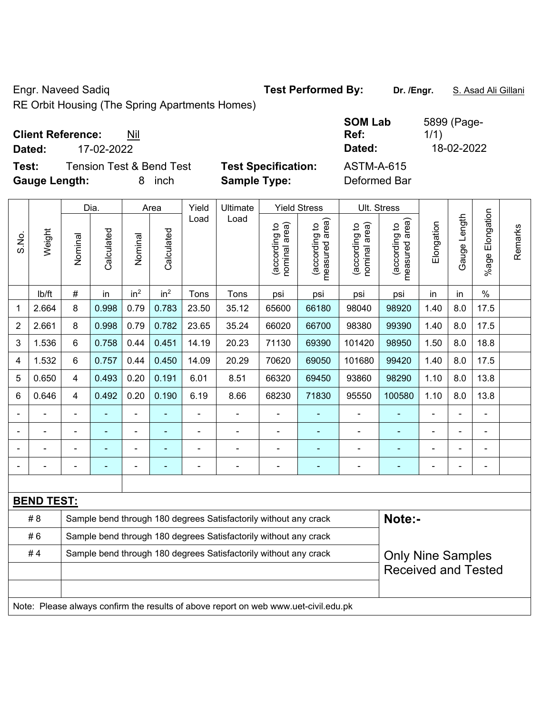Engr. Naveed Sadiq **Test Performed By: Dr. /Engr.** S. Asad Ali Gillani

RE Orbit Housing (The Spring Apartments Homes)

# **Client Reference:** Nil

**Test:** Tension Test & Bend Test **Test Specification: Gauge Length:** 8 inch **Sample Type:** Deformed Bar

|        | <b>Client Reference:</b><br>Nil     |                            | <b>SOM Lab</b><br>Ref: | 5899 (Page-<br>1/1) |
|--------|-------------------------------------|----------------------------|------------------------|---------------------|
| Dated: | 17-02-2022                          |                            | Dated:                 | 18-02-2022          |
| Test:  | <b>Tension Test &amp; Bend Test</b> | <b>Test Specification:</b> | ASTM-A-615             |                     |

|                |                          |                | Dia.                     |                              | Area            | Yield          | Ultimate                                                                            |                                | <b>Yield Stress</b>                         |                                | Ult. Stress                     |                              |              |                       |         |
|----------------|--------------------------|----------------|--------------------------|------------------------------|-----------------|----------------|-------------------------------------------------------------------------------------|--------------------------------|---------------------------------------------|--------------------------------|---------------------------------|------------------------------|--------------|-----------------------|---------|
| S.No.          | Weight                   | Nominal        | Calculated               | Nominal                      | Calculated      | Load           | Load                                                                                | nominal area)<br>(according to | (according to<br>measured area)<br>measured | nominal area)<br>(according to | (according to<br>measured area) | Elongation                   | Gauge Length | Elongation<br>$%$ age | Remarks |
|                | lb/ft                    | $\#$           | in                       | in <sup>2</sup>              | in <sup>2</sup> | Tons           | Tons                                                                                | psi                            | psi                                         | psi                            | psi                             | in                           | in           | $\%$                  |         |
| 1              | 2.664                    | 8              | 0.998                    | 0.79                         | 0.783           | 23.50          | 35.12                                                                               | 65600                          | 66180                                       | 98040                          | 98920                           | 1.40                         | 8.0          | 17.5                  |         |
| $\overline{2}$ | 2.661                    | 8              | 0.998                    | 0.79                         | 0.782           | 23.65          | 35.24                                                                               | 66020                          | 66700                                       | 98380                          | 99390                           | 1.40                         | 8.0          | 17.5                  |         |
| 3              | 1.536                    | 6              | 0.758                    | 0.44                         | 0.451           | 14.19          | 20.23                                                                               | 71130                          | 69390                                       | 101420                         | 98950                           | 1.50                         | 8.0          | 18.8                  |         |
| 4              | 1.532                    | 6              | 0.757                    | 0.44                         | 0.450           | 14.09          | 20.29                                                                               | 70620                          | 69050                                       | 101680                         | 99420                           | 1.40                         | 8.0          | 17.5                  |         |
| 5              | 0.650                    | 4              | 0.493                    | 0.20                         | 0.191           | 6.01           | 8.51                                                                                | 66320                          | 69450                                       | 93860                          | 98290                           | 1.10                         | 8.0          | 13.8                  |         |
| 6              | 0.646                    | 4              | 0.492                    | 0.20                         | 0.190           | 6.19           | 8.66                                                                                | 68230                          | 71830                                       | 95550                          | 100580                          | 1.10                         | 8.0          | 13.8                  |         |
|                |                          |                |                          |                              |                 |                |                                                                                     |                                |                                             |                                | L,                              |                              |              |                       |         |
|                |                          |                |                          | ۰                            |                 |                | ÷                                                                                   |                                |                                             |                                |                                 |                              |              | -                     |         |
|                | $\overline{\phantom{0}}$ |                | $\overline{\phantom{0}}$ | $\qquad \qquad \blacksquare$ | ۰               | -              | $\overline{a}$                                                                      | $\qquad \qquad \blacksquare$   |                                             | $\overline{a}$                 | $\overline{a}$                  | $\qquad \qquad \blacksquare$ |              | $\overline{a}$        |         |
|                | $\blacksquare$           | $\blacksquare$ | $\overline{\phantom{0}}$ | ÷,                           | ۰               | $\blacksquare$ | ä,                                                                                  | $\blacksquare$                 | ÷                                           | $\blacksquare$                 | ٠                               | $\blacksquare$               |              | ä,                    |         |
|                |                          |                |                          |                              |                 |                |                                                                                     |                                |                                             |                                |                                 |                              |              |                       |         |
|                | <b>BEND TEST:</b>        |                |                          |                              |                 |                |                                                                                     |                                |                                             |                                |                                 |                              |              |                       |         |
|                | # 8                      |                |                          |                              |                 |                | Sample bend through 180 degrees Satisfactorily without any crack                    |                                |                                             |                                | Note:-                          |                              |              |                       |         |
|                | #6                       |                |                          |                              |                 |                | Sample bend through 180 degrees Satisfactorily without any crack                    |                                |                                             |                                |                                 |                              |              |                       |         |
|                | #4                       |                |                          |                              |                 |                | Sample bend through 180 degrees Satisfactorily without any crack                    |                                |                                             |                                | <b>Only Nine Samples</b>        |                              |              |                       |         |
|                |                          |                |                          |                              |                 |                |                                                                                     |                                |                                             |                                | <b>Received and Tested</b>      |                              |              |                       |         |
|                |                          |                |                          |                              |                 |                |                                                                                     |                                |                                             |                                |                                 |                              |              |                       |         |
|                |                          |                |                          |                              |                 |                | Note: Please always confirm the results of above report on web www.uet-civil.edu.pk |                                |                                             |                                |                                 |                              |              |                       |         |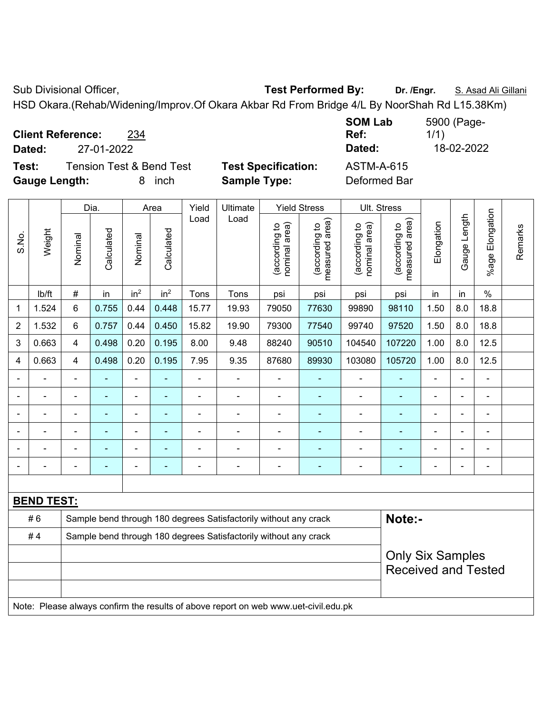Sub Divisional Officer, **Test Performed By:** Dr. /Engr. **S. Asad Ali Gillani** Ali Gillani

HSD Okara.(Rehab/Widening/Improv.Of Okara Akbar Rd From Bridge 4/L By NoorShah Rd L15.38Km)

**Client Reference:** 234

**Test:** Tension Test & Bend Test **Test Specification:** ASTM-A-615 **Gauge Length:** 8 inch **Sample Type:** Deformed Bar

**SOM Lab Ref:**  5900 (Page-1/1) **Dated:** 27-01-2022 **Dated:** 18-02-2022

|                |                   |                          | Dia.           |                          | Area                     | Yield          | Ultimate                                                                            |                                | <b>Yield Stress</b>             |                                | Ult. Stress                     |                |                |                      |         |
|----------------|-------------------|--------------------------|----------------|--------------------------|--------------------------|----------------|-------------------------------------------------------------------------------------|--------------------------------|---------------------------------|--------------------------------|---------------------------------|----------------|----------------|----------------------|---------|
| S.No.          | Weight            | Nominal                  | Calculated     | Nominal                  | Calculated               | Load           | Load                                                                                | nominal area)<br>(according to | measured area)<br>(according to | nominal area)<br>(according to | measured area)<br>(according to | Elongation     | Gauge Length   | Elongation<br>%age F | Remarks |
|                | lb/ft             | #                        | in             | in <sup>2</sup>          | in <sup>2</sup>          | Tons           | Tons                                                                                | psi                            | psi                             | psi                            | psi                             | in             | in             | $\frac{0}{0}$        |         |
| 1              | 1.524             | 6                        | 0.755          | 0.44                     | 0.448                    | 15.77          | 19.93                                                                               | 79050                          | 77630                           | 99890                          | 98110                           | 1.50           | 8.0            | 18.8                 |         |
| 2              | 1.532             | 6                        | 0.757          | 0.44                     | 0.450                    | 15.82          | 19.90                                                                               | 79300                          | 77540                           | 99740                          | 97520                           | 1.50           | 8.0            | 18.8                 |         |
| 3              | 0.663             | 4                        | 0.498          | 0.20                     | 0.195                    | 8.00           | 9.48                                                                                | 88240                          | 90510                           | 104540                         | 107220                          | 1.00           | 8.0            | 12.5                 |         |
| 4              | 0.663             | 4                        | 0.498          | 0.20                     | 0.195                    | 7.95           | 9.35                                                                                | 87680                          | 89930                           | 103080                         | 105720                          | 1.00           | 8.0            | 12.5                 |         |
| $\blacksquare$ |                   | $\overline{\phantom{0}}$ |                | $\blacksquare$           | $\blacksquare$           | $\blacksquare$ | $\overline{\phantom{0}}$                                                            | $\blacksquare$                 | $\overline{\phantom{a}}$        | $\overline{a}$                 | $\blacksquare$                  |                | $\blacksquare$ |                      |         |
|                | $\overline{a}$    | $\blacksquare$           | ä,             | ÷,                       | $\blacksquare$           | ä,             | ÷                                                                                   | $\overline{\phantom{a}}$       | $\blacksquare$                  | $\blacksquare$                 | ÷,                              | ä,             | $\blacksquare$ | $\blacksquare$       |         |
|                | $\blacksquare$    | $\blacksquare$           | $\blacksquare$ | $\blacksquare$           | $\overline{\phantom{a}}$ | ä,             | ä,                                                                                  | $\blacksquare$                 | $\blacksquare$                  | $\blacksquare$                 | $\blacksquare$                  | $\blacksquare$ | $\overline{a}$ |                      |         |
|                |                   | $\blacksquare$           | $\blacksquare$ | $\overline{\phantom{a}}$ |                          |                |                                                                                     |                                |                                 |                                |                                 |                |                |                      |         |
|                |                   |                          |                | $\blacksquare$           |                          |                | $\blacksquare$                                                                      |                                |                                 | $\blacksquare$                 |                                 |                |                |                      |         |
|                |                   |                          |                | ۰                        | ۰                        |                | ÷                                                                                   | $\overline{\phantom{a}}$       | $\overline{\phantom{a}}$        | ۰                              |                                 |                |                |                      |         |
|                |                   |                          |                |                          |                          |                |                                                                                     |                                |                                 |                                |                                 |                |                |                      |         |
|                | <b>BEND TEST:</b> |                          |                |                          |                          |                |                                                                                     |                                |                                 |                                |                                 |                |                |                      |         |
|                | #6                |                          |                |                          |                          |                | Sample bend through 180 degrees Satisfactorily without any crack                    |                                |                                 |                                | Note:-                          |                |                |                      |         |
|                | #4                |                          |                |                          |                          |                | Sample bend through 180 degrees Satisfactorily without any crack                    |                                |                                 |                                |                                 |                |                |                      |         |
|                |                   |                          |                |                          |                          |                |                                                                                     |                                |                                 |                                | <b>Only Six Samples</b>         |                |                |                      |         |
|                |                   |                          |                |                          |                          |                |                                                                                     |                                |                                 |                                | <b>Received and Tested</b>      |                |                |                      |         |
|                |                   |                          |                |                          |                          |                |                                                                                     |                                |                                 |                                |                                 |                |                |                      |         |
|                |                   |                          |                |                          |                          |                | Note: Please always confirm the results of above report on web www.uet-civil.edu.pk |                                |                                 |                                |                                 |                |                |                      |         |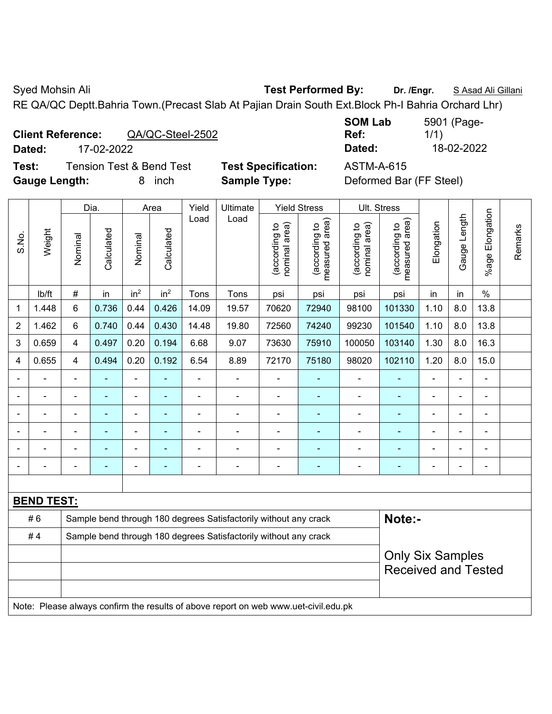Syed Mohsin Ali **Test Performed By:** Dr. /Engr. **SAsad Ali Gillani** Syed Mohsin Ali Gillani

RE QA/QC Deptt.Bahria Town.(Precast Slab At Pajian Drain South Ext.Block Ph-I Bahria Orchard Lhr)

|        |  | <b>Client Reference:</b>                 | QA/QC-Steel-2502 |
|--------|--|------------------------------------------|------------------|
| $\sim$ |  | $1 - \wedge \wedge \wedge \wedge \wedge$ |                  |

**Test:** Tension Test & Bend Test **Test Specification:** ASTM-A-615 **Gauge Length:** 8 inch **Sample Type:** Deformed Bar (FF Steel)

**SOM Lab Ref:**  5901 (Page-1/1) **Dated:** 17-02-2022 **Dated:** 18-02-2022

|                |                   |                                                                  | Dia.           |                          | Area                     | Yield                        | Ultimate                                                                            |                                | <b>Yield Stress</b>             |                                | Ult. Stress                     |                |                |                          |         |
|----------------|-------------------|------------------------------------------------------------------|----------------|--------------------------|--------------------------|------------------------------|-------------------------------------------------------------------------------------|--------------------------------|---------------------------------|--------------------------------|---------------------------------|----------------|----------------|--------------------------|---------|
| S.No.          | Weight            | Nominal                                                          | Calculated     | Nominal                  | Calculated               | Load                         | Load                                                                                | (according to<br>nominal area) | (according to<br>measured area) | nominal area)<br>(according to | (according to<br>measured area) | Elongation     | Gauge Length   | Elongation<br>$%$ age    | Remarks |
|                | lb/ft             | $\#$                                                             | in             | in <sup>2</sup>          | in <sup>2</sup>          | Tons                         | Tons                                                                                | psi                            | psi                             | psi                            | psi                             | in             | in             | $\%$                     |         |
| 1              | 1.448             | 6                                                                | 0.736          | 0.44                     | 0.426                    | 14.09                        | 19.57                                                                               | 70620                          | 72940                           | 98100                          | 101330                          | 1.10           | 8.0            | 13.8                     |         |
| $\overline{2}$ | 1.462             | 6                                                                | 0.740          | 0.44                     | 0.430                    | 14.48                        | 19.80                                                                               | 72560                          | 74240                           | 99230                          | 101540                          | 1.10           | 8.0            | 13.8                     |         |
| 3              | 0.659             | $\overline{4}$                                                   | 0.497          | 0.20                     | 0.194                    | 6.68                         | 9.07                                                                                | 73630                          | 75910                           | 100050                         | 103140                          | 1.30           | 8.0            | 16.3                     |         |
| 4              | 0.655             | $\overline{\mathbf{4}}$                                          | 0.494          | 0.20                     | 0.192                    | 6.54                         | 8.89                                                                                | 72170                          | 75180                           | 98020                          | 102110                          | 1.20           | 8.0            | 15.0                     |         |
|                | ä,                |                                                                  | L,             | ÷,                       | $\overline{\phantom{a}}$ | ÷,                           | $\blacksquare$                                                                      | ä,                             | ÷                               | ä,                             | ÷,                              |                | ÷,             | ÷,                       |         |
|                | ä,                | $\blacksquare$                                                   | ÷              | $\overline{\phantom{a}}$ | $\blacksquare$           | $\qquad \qquad \blacksquare$ | $\blacksquare$                                                                      | ä,                             | $\blacksquare$                  | $\blacksquare$                 | $\blacksquare$                  |                | $\blacksquare$ | $\overline{\phantom{a}}$ |         |
|                |                   |                                                                  | $\blacksquare$ | $\blacksquare$           | $\blacksquare$           |                              | $\blacksquare$                                                                      | ÷,                             | $\mathbf{r}$                    | $\blacksquare$                 | $\blacksquare$                  |                |                | $\blacksquare$           |         |
|                |                   |                                                                  |                | $\blacksquare$           |                          |                              |                                                                                     | ÷,                             |                                 | $\blacksquare$                 |                                 |                | $\blacksquare$ | $\blacksquare$           |         |
|                |                   |                                                                  |                | $\overline{\phantom{0}}$ |                          |                              | $\blacksquare$                                                                      | ٠                              | $\overline{\phantom{a}}$        | $\blacksquare$                 | $\overline{\phantom{0}}$        |                | $\blacksquare$ | ۰                        |         |
| $\blacksquare$ |                   | $\blacksquare$                                                   | $\blacksquare$ | $\blacksquare$           | $\blacksquare$           | $\blacksquare$               | $\blacksquare$                                                                      | $\blacksquare$                 | $\blacksquare$                  | $\overline{\phantom{a}}$       | ٠                               | $\blacksquare$ | $\blacksquare$ | $\overline{\phantom{a}}$ |         |
|                |                   |                                                                  |                |                          |                          |                              |                                                                                     |                                |                                 |                                |                                 |                |                |                          |         |
|                | <b>BEND TEST:</b> |                                                                  |                |                          |                          |                              |                                                                                     |                                |                                 |                                |                                 |                |                |                          |         |
|                | #6                | Sample bend through 180 degrees Satisfactorily without any crack |                |                          |                          |                              |                                                                                     |                                |                                 |                                | Note:-                          |                |                |                          |         |
|                | #4                |                                                                  |                |                          |                          |                              | Sample bend through 180 degrees Satisfactorily without any crack                    |                                |                                 |                                |                                 |                |                |                          |         |
|                |                   |                                                                  |                |                          |                          |                              |                                                                                     |                                |                                 |                                | <b>Only Six Samples</b>         |                |                |                          |         |
|                |                   |                                                                  |                |                          |                          |                              |                                                                                     |                                |                                 |                                | <b>Received and Tested</b>      |                |                |                          |         |
|                |                   |                                                                  |                |                          |                          |                              |                                                                                     |                                |                                 |                                |                                 |                |                |                          |         |
|                |                   |                                                                  |                |                          |                          |                              | Note: Please always confirm the results of above report on web www.uet-civil.edu.pk |                                |                                 |                                |                                 |                |                |                          |         |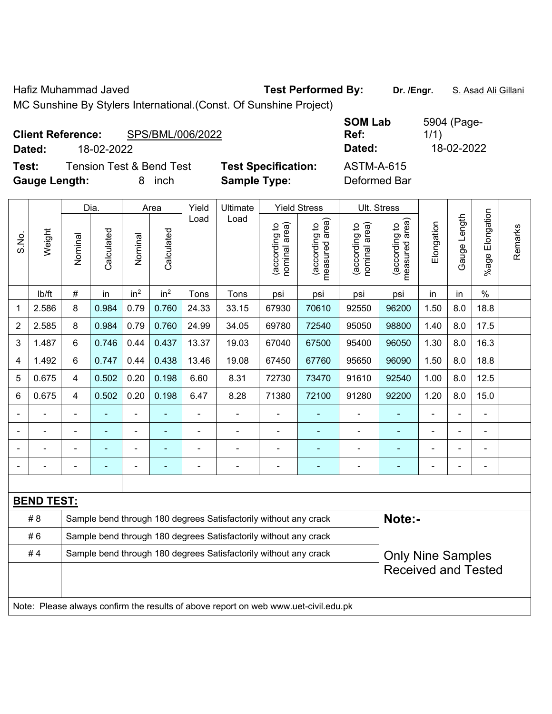Hafiz Muhammad Javed **Test Performed By:** Dr. /Engr. S. Asad Ali Gillani

MC Sunshine By Stylers International.(Const. Of Sunshine Project)

| <b>Client Reference:</b><br>Dated: | 18-02-2022 | SPS/BML/006/2022                    |                            | <b>SOM Lab</b><br>Ref:<br>Dated: | 5904 (Page-<br>1/1)<br>18-02-2022 |
|------------------------------------|------------|-------------------------------------|----------------------------|----------------------------------|-----------------------------------|
| Test:                              |            | <b>Tension Test &amp; Bend Test</b> | <b>Test Specification:</b> | <b>ASTM-A-615</b>                |                                   |
| <b>Gauge Length:</b>               |            | inch<br>8.                          | <b>Sample Type:</b>        | Deformed Bar                     |                                   |

|                                                                        | Weight                                                                              | Dia.                                                                       |            | Area            |                            | Yield                    | Ultimate       | <b>Yield Stress</b>            |                                 | Ult. Stress                    |                                 |                |              |                       |         |
|------------------------------------------------------------------------|-------------------------------------------------------------------------------------|----------------------------------------------------------------------------|------------|-----------------|----------------------------|--------------------------|----------------|--------------------------------|---------------------------------|--------------------------------|---------------------------------|----------------|--------------|-----------------------|---------|
| S.No.                                                                  |                                                                                     | Nominal                                                                    | Calculated | Nominal         | Calculated                 | Load                     | Load           | nominal area)<br>(according to | (according to<br>measured area) | nominal area)<br>(according to | (according to<br>measured area) | Elongation     | Gauge Length | Elongation<br>$%$ age | Remarks |
|                                                                        | lb/ft                                                                               | $\#$                                                                       | in         | in <sup>2</sup> | in <sup>2</sup>            | Tons                     | Tons           | psi                            | psi                             | psi                            | psi                             | in             | in           | $\%$                  |         |
| 1                                                                      | 2.586                                                                               | 8                                                                          | 0.984      | 0.79            | 0.760                      | 24.33                    | 33.15          | 67930                          | 70610                           | 92550                          | 96200                           | 1.50           | 8.0          | 18.8                  |         |
| $\overline{2}$                                                         | 2.585                                                                               | 8                                                                          | 0.984      | 0.79            | 0.760                      | 24.99                    | 34.05          | 69780                          | 72540                           | 95050                          | 98800                           | 1.40           | 8.0          | 17.5                  |         |
| 3                                                                      | 1.487                                                                               | 6                                                                          | 0.746      | 0.44            | 0.437                      | 13.37                    | 19.03          | 67040                          | 67500                           | 95400                          | 96050                           | 1.30           | 8.0          | 16.3                  |         |
| 4                                                                      | 1.492                                                                               | 6                                                                          | 0.747      | 0.44            | 0.438                      | 13.46                    | 19.08          | 67450                          | 67760                           | 95650                          | 96090                           | 1.50           | 8.0          | 18.8                  |         |
| 5                                                                      | 0.675                                                                               | $\overline{4}$                                                             | 0.502      | 0.20            | 0.198                      | 6.60                     | 8.31           | 72730                          | 73470                           | 91610                          | 92540                           | 1.00           | 8.0          | 12.5                  |         |
| 6                                                                      | 0.675                                                                               | $\overline{4}$                                                             | 0.502      | 0.20            | 0.198                      | 6.47                     | 8.28           | 71380                          | 72100                           | 91280                          | 92200                           | 1.20           | 8.0          | 15.0                  |         |
|                                                                        |                                                                                     |                                                                            |            |                 |                            |                          |                |                                |                                 |                                |                                 |                |              |                       |         |
|                                                                        |                                                                                     |                                                                            |            | ÷               |                            |                          |                |                                |                                 |                                |                                 |                |              |                       |         |
|                                                                        |                                                                                     |                                                                            |            | -               |                            |                          |                |                                |                                 |                                |                                 |                |              | ٠                     |         |
| $\blacksquare$                                                         |                                                                                     |                                                                            | ۰          | ÷               | ٠                          |                          | $\blacksquare$ | $\blacksquare$                 | $\blacksquare$                  | $\blacksquare$                 | ۰                               | $\blacksquare$ | L.           | $\blacksquare$        |         |
|                                                                        |                                                                                     |                                                                            |            |                 |                            |                          |                |                                |                                 |                                |                                 |                |              |                       |         |
|                                                                        | <b>BEND TEST:</b>                                                                   |                                                                            |            |                 |                            |                          |                |                                |                                 |                                |                                 |                |              |                       |         |
|                                                                        | # 8                                                                                 | Note:-<br>Sample bend through 180 degrees Satisfactorily without any crack |            |                 |                            |                          |                |                                |                                 |                                |                                 |                |              |                       |         |
|                                                                        | #6                                                                                  | Sample bend through 180 degrees Satisfactorily without any crack           |            |                 |                            |                          |                |                                |                                 |                                |                                 |                |              |                       |         |
| #4<br>Sample bend through 180 degrees Satisfactorily without any crack |                                                                                     |                                                                            |            |                 |                            | <b>Only Nine Samples</b> |                |                                |                                 |                                |                                 |                |              |                       |         |
|                                                                        |                                                                                     |                                                                            |            |                 | <b>Received and Tested</b> |                          |                |                                |                                 |                                |                                 |                |              |                       |         |
|                                                                        |                                                                                     |                                                                            |            |                 |                            |                          |                |                                |                                 |                                |                                 |                |              |                       |         |
|                                                                        | Note: Please always confirm the results of above report on web www.uet-civil.edu.pk |                                                                            |            |                 |                            |                          |                |                                |                                 |                                |                                 |                |              |                       |         |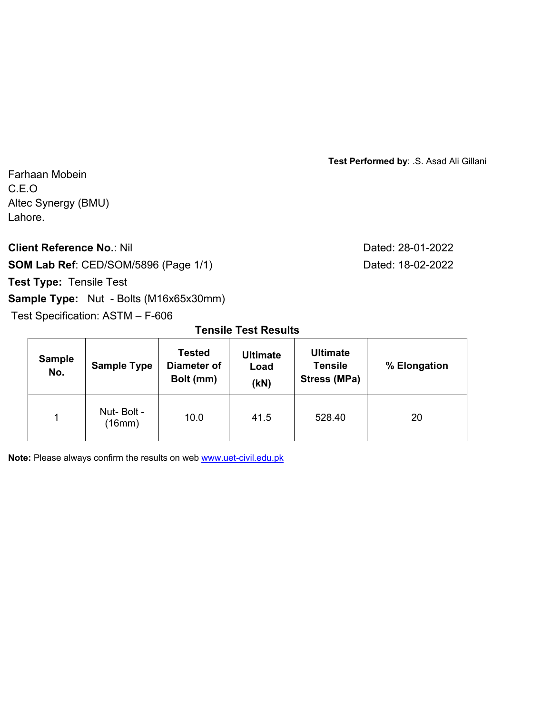**Test Performed by**: .S. Asad Ali Gillani

Farhaan Mobein C.E.O Altec Synergy (BMU) Lahore.

**Client Reference No.: Nil Client Reference No.: Nil** 

**SOM Lab Ref**: CED/SOM/5896 (Page 1/1) Dated: 18-02-2022

# **Test Type:** Tensile Test

 $\blacksquare$ 

## **Sample Type:** Nut - Bolts (M16x65x30mm)

Test Specification: ASTM – F-606

**Tensile Test Results** 

| <b>Sample</b><br>No. | <b>Sample Type</b>   | <b>Tested</b><br>Diameter of<br>Bolt (mm) | <b>Ultimate</b><br>Load<br>(kN) | <b>Ultimate</b><br><b>Tensile</b><br>Stress (MPa) | % Elongation |  |
|----------------------|----------------------|-------------------------------------------|---------------------------------|---------------------------------------------------|--------------|--|
|                      | Nut-Bolt -<br>(16mm) | 41.5<br>10.0                              |                                 | 528.40                                            | 20           |  |

**Note:** Please always confirm the results on web www.uet-civil.edu.pk